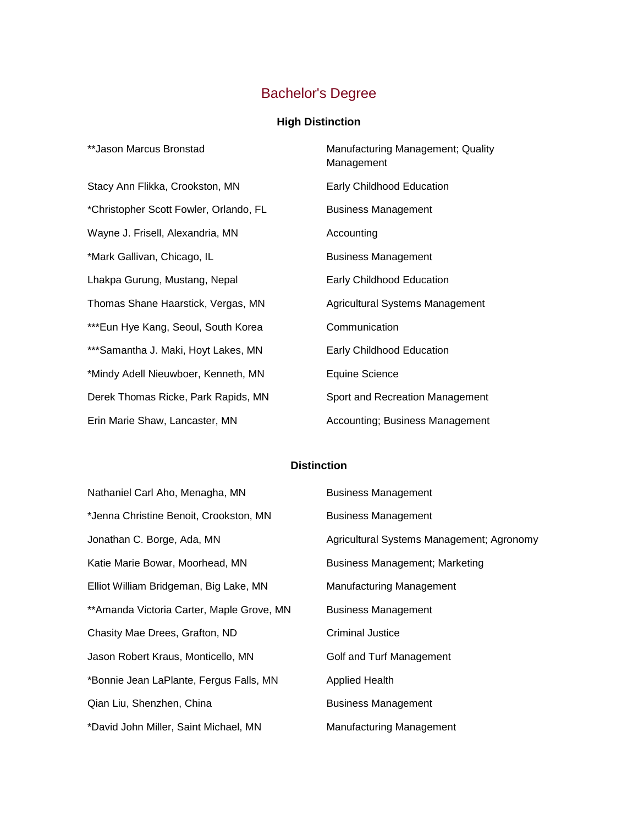## Bachelor's Degree

## **High Distinction**

| **Jason Marcus Bronstad                | Manufacturing Management; Quality<br>Management |
|----------------------------------------|-------------------------------------------------|
| Stacy Ann Flikka, Crookston, MN        | Early Childhood Education                       |
| *Christopher Scott Fowler, Orlando, FL | <b>Business Management</b>                      |
| Wayne J. Frisell, Alexandria, MN       | Accounting                                      |
| *Mark Gallivan, Chicago, IL            | <b>Business Management</b>                      |
| Lhakpa Gurung, Mustang, Nepal          | Early Childhood Education                       |
| Thomas Shane Haarstick, Vergas, MN     | Agricultural Systems Management                 |
| ***Eun Hye Kang, Seoul, South Korea    | Communication                                   |
| *** Samantha J. Maki, Hoyt Lakes, MN   | Early Childhood Education                       |
| *Mindy Adell Nieuwboer, Kenneth, MN    | <b>Equine Science</b>                           |
| Derek Thomas Ricke, Park Rapids, MN    | Sport and Recreation Management                 |
| Erin Marie Shaw, Lancaster, MN         | Accounting; Business Management                 |

## **Distinction**

| Nathaniel Carl Aho, Menagha, MN            | <b>Business Management</b>                |
|--------------------------------------------|-------------------------------------------|
| *Jenna Christine Benoit, Crookston, MN     | <b>Business Management</b>                |
| Jonathan C. Borge, Ada, MN                 | Agricultural Systems Management; Agronomy |
| Katie Marie Bowar, Moorhead, MN            | Business Management; Marketing            |
| Elliot William Bridgeman, Big Lake, MN     | <b>Manufacturing Management</b>           |
| ** Amanda Victoria Carter, Maple Grove, MN | <b>Business Management</b>                |
| Chasity Mae Drees, Grafton, ND             | <b>Criminal Justice</b>                   |
| Jason Robert Kraus, Monticello, MN         | Golf and Turf Management                  |
| *Bonnie Jean LaPlante, Fergus Falls, MN    | <b>Applied Health</b>                     |
| Qian Liu, Shenzhen, China                  | <b>Business Management</b>                |
| *David John Miller, Saint Michael, MN      | <b>Manufacturing Management</b>           |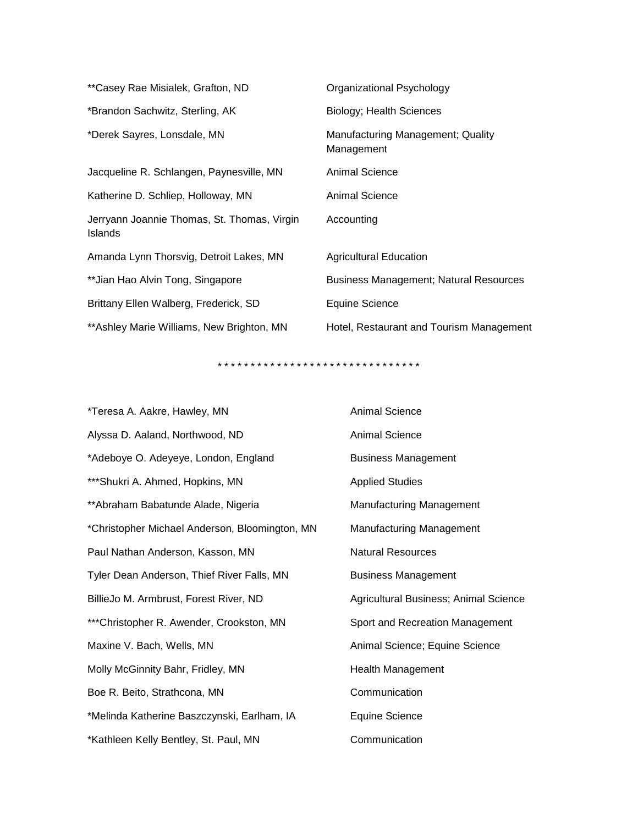| **Casey Rae Misialek, Grafton, ND                             | Organizational Psychology                       |
|---------------------------------------------------------------|-------------------------------------------------|
| *Brandon Sachwitz, Sterling, AK                               | Biology; Health Sciences                        |
| *Derek Sayres, Lonsdale, MN                                   | Manufacturing Management; Quality<br>Management |
| Jacqueline R. Schlangen, Paynesville, MN                      | Animal Science                                  |
| Katherine D. Schliep, Holloway, MN                            | <b>Animal Science</b>                           |
| Jerryann Joannie Thomas, St. Thomas, Virgin<br><b>Islands</b> | Accounting                                      |
| Amanda Lynn Thorsvig, Detroit Lakes, MN                       | <b>Agricultural Education</b>                   |
| ** Jian Hao Alvin Tong, Singapore                             | <b>Business Management; Natural Resources</b>   |
| Brittany Ellen Walberg, Frederick, SD                         | Equine Science                                  |
| ** Ashley Marie Williams, New Brighton, MN                    | Hotel, Restaurant and Tourism Management        |

\* \* \* \* \* \* \* \* \* \* \* \* \* \* \* \* \* \* \* \* \* \* \* \* \* \* \* \* \* \* \*

| *Teresa A. Aakre, Hawley, MN                   | <b>Animal Science</b>                 |
|------------------------------------------------|---------------------------------------|
| Alyssa D. Aaland, Northwood, ND                | Animal Science                        |
| *Adeboye O. Adeyeye, London, England           | <b>Business Management</b>            |
| *** Shukri A. Ahmed, Hopkins, MN               | <b>Applied Studies</b>                |
| **Abraham Babatunde Alade, Nigeria             | <b>Manufacturing Management</b>       |
| *Christopher Michael Anderson, Bloomington, MN | <b>Manufacturing Management</b>       |
| Paul Nathan Anderson, Kasson, MN               | <b>Natural Resources</b>              |
| Tyler Dean Anderson, Thief River Falls, MN     | <b>Business Management</b>            |
| BillieJo M. Armbrust, Forest River, ND         | Agricultural Business; Animal Science |
| *** Christopher R. Awender, Crookston, MN      | Sport and Recreation Management       |
| Maxine V. Bach, Wells, MN                      | Animal Science; Equine Science        |
| Molly McGinnity Bahr, Fridley, MN              | Health Management                     |
| Boe R. Beito, Strathcona, MN                   | Communication                         |
| *Melinda Katherine Baszczynski, Earlham, IA    | Equine Science                        |
| *Kathleen Kelly Bentley, St. Paul, MN          | Communication                         |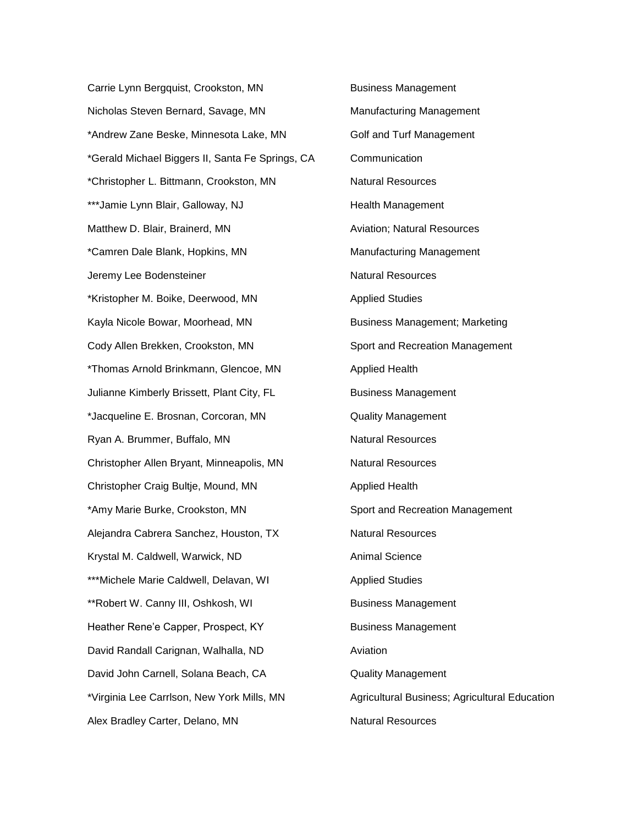Carrie Lynn Bergquist, Crookston, MN Business Management Nicholas Steven Bernard, Savage, MN Manufacturing Management \*Andrew Zane Beske, Minnesota Lake, MN Golf and Turf Management \*Gerald Michael Biggers II, Santa Fe Springs, CA Communication \*Christopher L. Bittmann, Crookston, MN Natural Resources \*\*\*Jamie Lynn Blair, Galloway, NJ Health Management Matthew D. Blair, Brainerd, MN Aviation; Natural Resources \*Camren Dale Blank, Hopkins, MN Manufacturing Management Jeremy Lee Bodensteiner Natural Resources \*Kristopher M. Boike, Deerwood, MN Applied Studies Kayla Nicole Bowar, Moorhead, MN Business Management; Marketing Cody Allen Brekken, Crookston, MN Sport and Recreation Management \*Thomas Arnold Brinkmann, Glencoe, MN Applied Health Julianne Kimberly Brissett, Plant City, FL Business Management \*Jacqueline E. Brosnan, Corcoran, MN Quality Management Ryan A. Brummer, Buffalo, MN Natural Resources Christopher Allen Bryant, Minneapolis, MN Natural Resources Christopher Craig Bultje, Mound, MN Applied Health \*Amy Marie Burke, Crookston, MN Sport and Recreation Management Alejandra Cabrera Sanchez, Houston, TX Natural Resources Krystal M. Caldwell, Warwick, ND Animal Science \*\*\*Michele Marie Caldwell, Delavan, WI Applied Studies \*\*Robert W. Canny III, Oshkosh, WI Business Management Heather Rene'e Capper, Prospect, KY Business Management David Randall Carignan, Walhalla, ND Aviation David John Carnell, Solana Beach, CA **Quality Management** \*Virginia Lee Carrlson, New York Mills, MN Agricultural Business; Agricultural Education Alex Bradley Carter, Delano, MN Natural Resources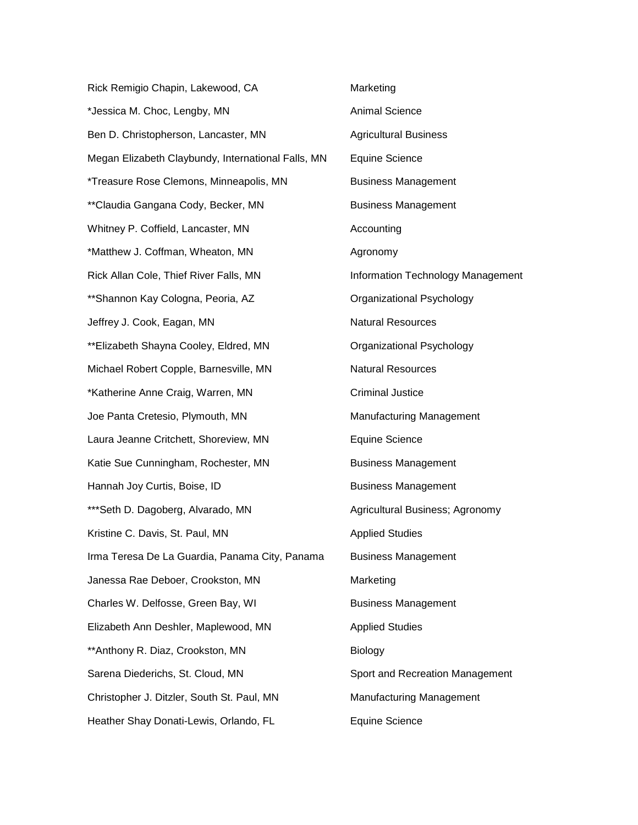| Rick Remigio Chapin, Lakewood, CA                  | Marketing                         |
|----------------------------------------------------|-----------------------------------|
| *Jessica M. Choc, Lengby, MN                       | <b>Animal Science</b>             |
| Ben D. Christopherson, Lancaster, MN               | <b>Agricultural Business</b>      |
| Megan Elizabeth Claybundy, International Falls, MN | <b>Equine Science</b>             |
| *Treasure Rose Clemons, Minneapolis, MN            | <b>Business Management</b>        |
| **Claudia Gangana Cody, Becker, MN                 | <b>Business Management</b>        |
| Whitney P. Coffield, Lancaster, MN                 | Accounting                        |
| *Matthew J. Coffman, Wheaton, MN                   | Agronomy                          |
| Rick Allan Cole, Thief River Falls, MN             | Information Technology Management |
| ** Shannon Kay Cologna, Peoria, AZ                 | Organizational Psychology         |
| Jeffrey J. Cook, Eagan, MN                         | <b>Natural Resources</b>          |
| ** Elizabeth Shayna Cooley, Eldred, MN             | Organizational Psychology         |
| Michael Robert Copple, Barnesville, MN             | <b>Natural Resources</b>          |
| *Katherine Anne Craig, Warren, MN                  | <b>Criminal Justice</b>           |
| Joe Panta Cretesio, Plymouth, MN                   | <b>Manufacturing Management</b>   |
| Laura Jeanne Critchett, Shoreview, MN              | <b>Equine Science</b>             |
| Katie Sue Cunningham, Rochester, MN                | <b>Business Management</b>        |
| Hannah Joy Curtis, Boise, ID                       | <b>Business Management</b>        |
| *** Seth D. Dagoberg, Alvarado, MN                 | Agricultural Business; Agronomy   |
| Kristine C. Davis, St. Paul, MN                    | <b>Applied Studies</b>            |
| Irma Teresa De La Guardia, Panama City, Panama     | <b>Business Management</b>        |
| Janessa Rae Deboer, Crookston, MN                  | Marketing                         |
| Charles W. Delfosse, Green Bay, WI                 | <b>Business Management</b>        |
| Elizabeth Ann Deshler, Maplewood, MN               | <b>Applied Studies</b>            |
| ** Anthony R. Diaz, Crookston, MN                  | Biology                           |
| Sarena Diederichs, St. Cloud, MN                   | Sport and Recreation Management   |
| Christopher J. Ditzler, South St. Paul, MN         | Manufacturing Management          |
| Heather Shay Donati-Lewis, Orlando, FL             | <b>Equine Science</b>             |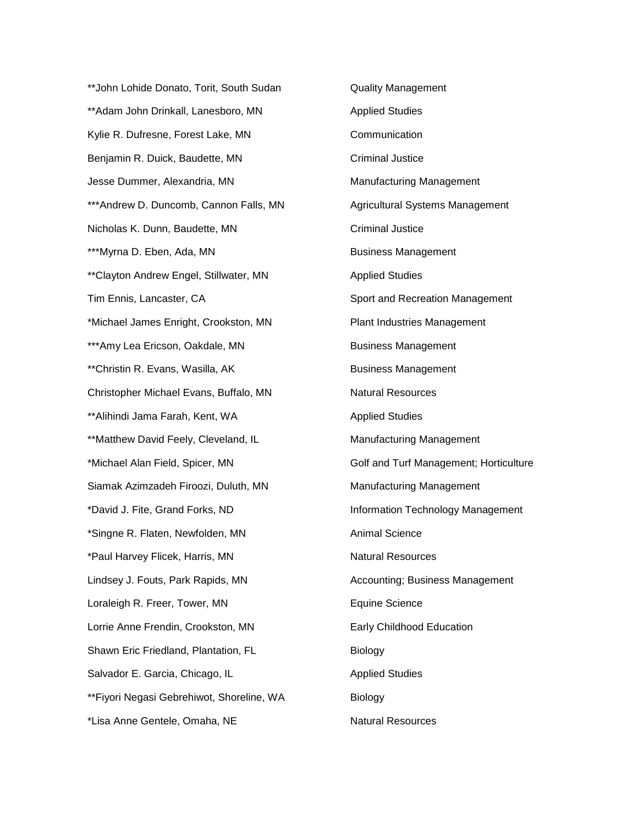\*\*John Lohide Donato, Torit, South Sudan **Quality Management** \*\*Adam John Drinkall, Lanesboro, MN Applied Studies Kylie R. Dufresne, Forest Lake, MN Communication Benjamin R. Duick, Baudette, MN Criminal Justice Jesse Dummer, Alexandria, MN Manufacturing Management \*\*\*Andrew D. Duncomb, Cannon Falls, MN Agricultural Systems Management Nicholas K. Dunn, Baudette, MN Criminal Justice \*\*\*Myrna D. Eben, Ada, MN Business Management \*\*Clayton Andrew Engel, Stillwater, MN Applied Studies Tim Ennis, Lancaster, CA Sport and Recreation Management \*Michael James Enright, Crookston, MN Plant Industries Management \*\*\*Amy Lea Ericson, Oakdale, MN Business Management \*\*Christin R. Evans, Wasilla, AK Business Management Christopher Michael Evans, Buffalo, MN Natural Resources \*\*Alihindi Jama Farah, Kent, WA Annum Applied Studies \*\*Matthew David Feely, Cleveland, IL Manufacturing Management \*Michael Alan Field, Spicer, MN Golf and Turf Management; Horticulture Siamak Azimzadeh Firoozi, Duluth, MN Manufacturing Management \*David J. Fite, Grand Forks, ND Information Technology Management \*Singne R. Flaten, Newfolden, MN Animal Science \*Paul Harvey Flicek, Harris, MN Natural Resources Lindsey J. Fouts, Park Rapids, MN Accounting; Business Management Loraleigh R. Freer, Tower, MN Equine Science Lorrie Anne Frendin, Crookston, MN Early Childhood Education Shawn Eric Friedland, Plantation, FL Biology Salvador E. Garcia, Chicago, IL **Alleman Studies** Applied Studies \*\*Fiyori Negasi Gebrehiwot, Shoreline, WA Biology \*Lisa Anne Gentele, Omaha, NE Natural Resources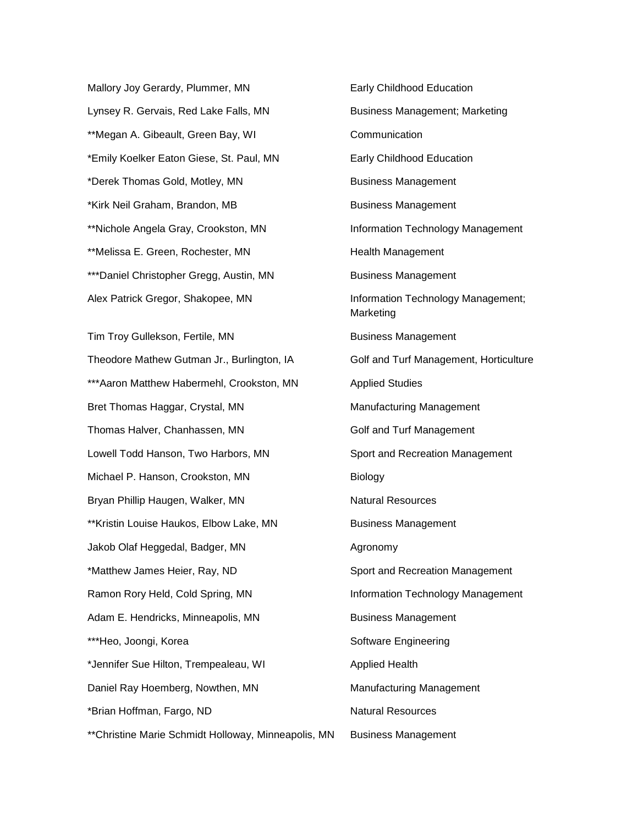Mallory Joy Gerardy, Plummer, MN Early Childhood Education Lynsey R. Gervais, Red Lake Falls, MN Business Management; Marketing \*\*Megan A. Gibeault, Green Bay, WI Communication \*Emily Koelker Eaton Giese, St. Paul, MN Early Childhood Education \*Derek Thomas Gold, Motley, MN Business Management \*Kirk Neil Graham, Brandon, MB Business Management \*\*Nichole Angela Gray, Crookston, MN Information Technology Management \*\*Melissa E. Green, Rochester, MN Health Management \*\*\*Daniel Christopher Gregg, Austin, MN Business Management Alex Patrick Gregor, Shakopee, MN Information Technology Management;

Theodore Mathew Gutman Jr., Burlington, IA Golf and Turf Management, Horticulture \*\*\*Aaron Matthew Habermehl, Crookston, MN Applied Studies Bret Thomas Haggar, Crystal, MN Manufacturing Management Thomas Halver, Chanhassen, MN Golf and Turf Management Lowell Todd Hanson, Two Harbors, MN Sport and Recreation Management Michael P. Hanson, Crookston, MN Biology Bryan Phillip Haugen, Walker, MN Natural Resources \*\*Kristin Louise Haukos, Elbow Lake, MN Business Management Jakob Olaf Heggedal, Badger, MN Agronomy \*Matthew James Heier, Ray, ND Sport and Recreation Management Ramon Rory Held, Cold Spring, MN **Information Technology Management** Adam E. Hendricks, Minneapolis, MN Business Management \*\*\*Heo, Joongi, Korea Software Engineering \*Jennifer Sue Hilton, Trempealeau, WI **Applied Health** Daniel Ray Hoemberg, Nowthen, MN Manufacturing Management \*Brian Hoffman, Fargo, ND Natural Resources

Marketing Tim Troy Gullekson, Fertile, MN Business Management \*\*Christine Marie Schmidt Holloway, Minneapolis, MN Business Management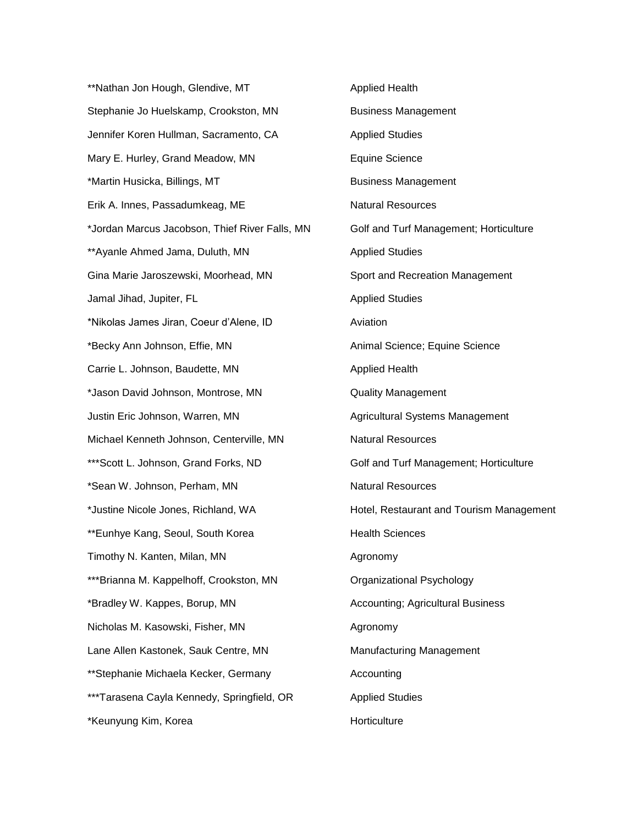\*\*Nathan Jon Hough, Glendive, MT Applied Health Stephanie Jo Huelskamp, Crookston, MN Business Management Jennifer Koren Hullman, Sacramento, CA Applied Studies Mary E. Hurley, Grand Meadow, MN Equine Science \*Martin Husicka, Billings, MT business Management Erik A. Innes, Passadumkeag, ME Natural Resources \*Jordan Marcus Jacobson, Thief River Falls, MN Golf and Turf Management; Horticulture \*\*Ayanle Ahmed Jama, Duluth, MN Applied Studies Gina Marie Jaroszewski, Moorhead, MN Sport and Recreation Management Jamal Jihad, Jupiter, FL Applied Studies \*Nikolas James Jiran, Coeur d'Alene, ID Aviation \*Becky Ann Johnson, Effie, MN Animal Science; Equine Science Carrie L. Johnson, Baudette, MN Applied Health \*Jason David Johnson, Montrose, MN Quality Management Justin Eric Johnson, Warren, MN Agricultural Systems Management Michael Kenneth Johnson, Centerville, MN Natural Resources \*\*\*Scott L. Johnson, Grand Forks, ND Golf and Turf Management; Horticulture \*Sean W. Johnson, Perham, MN Natural Resources \*Justine Nicole Jones, Richland, WA Hotel, Restaurant and Tourism Management \*\*Eunhye Kang, Seoul, South Korea Health Sciences Timothy N. Kanten, Milan, MN Agronomy \*\*\*Brianna M. Kappelhoff, Crookston, MN Crganizational Psychology \*Bradley W. Kappes, Borup, MN Accounting; Agricultural Business Nicholas M. Kasowski, Fisher, MN Agronomy Lane Allen Kastonek, Sauk Centre, MN Manufacturing Management \*\*Stephanie Michaela Kecker, Germany https://www.accounting \*\*\*Tarasena Cayla Kennedy, Springfield, OR Applied Studies \*Keunyung Kim, Korea **Horticulture** Horticulture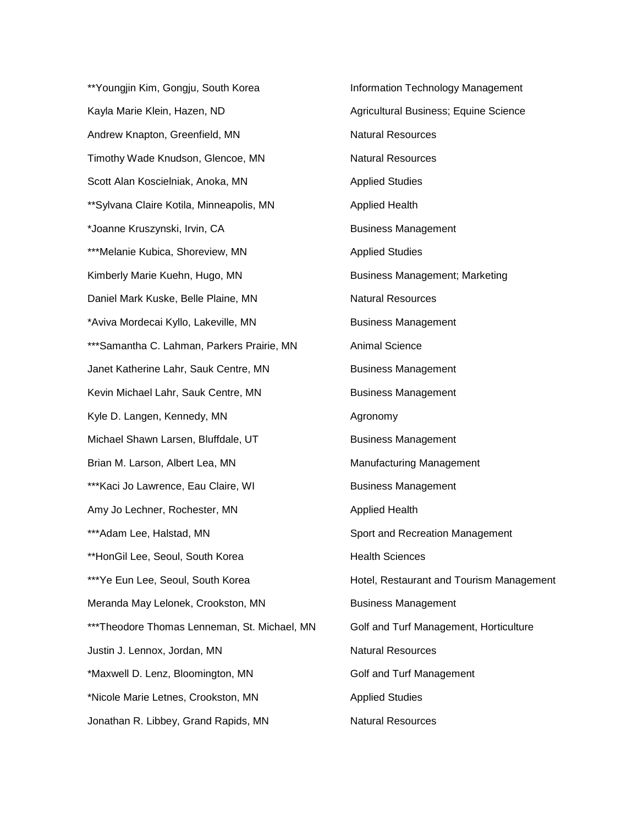\*\*Youngjin Kim, Gongju, South Korea Information Technology Management Kayla Marie Klein, Hazen, ND Agricultural Business; Equine Science Andrew Knapton, Greenfield, MN Natural Resources Timothy Wade Knudson, Glencoe, MN Natural Resources Scott Alan Koscielniak, Anoka, MN Applied Studies \*\*Sylvana Claire Kotila, Minneapolis, MN Applied Health \*Joanne Kruszynski, Irvin, CA Business Management \*\*\*Melanie Kubica, Shoreview, MN Applied Studies Kimberly Marie Kuehn, Hugo, MN Business Management; Marketing Daniel Mark Kuske, Belle Plaine, MN Natural Resources \*Aviva Mordecai Kyllo, Lakeville, MN Business Management \*\*\*Samantha C. Lahman, Parkers Prairie, MN Animal Science Janet Katherine Lahr, Sauk Centre, MN Business Management Kevin Michael Lahr, Sauk Centre, MN Business Management Kyle D. Langen, Kennedy, MN Agronomy Michael Shawn Larsen, Bluffdale, UT Business Management Brian M. Larson, Albert Lea, MN Museum Manufacturing Management \*\*\*Kaci Jo Lawrence, Eau Claire, WI Business Management Amy Jo Lechner, Rochester, MN Applied Health \*\*\*Adam Lee, Halstad, MN Sport and Recreation Management \*\*HonGil Lee, Seoul, South Korea https://www.frankshipper.com \*\*\*Ye Eun Lee, Seoul, South Korea Hotel, Restaurant and Tourism Management Meranda May Lelonek, Crookston, MN Business Management \*\*\*Theodore Thomas Lenneman, St. Michael, MN Golf and Turf Management, Horticulture Justin J. Lennox, Jordan, MN Natural Resources \*Maxwell D. Lenz, Bloomington, MN Golf and Turf Management \*Nicole Marie Letnes, Crookston, MN Applied Studies Jonathan R. Libbey, Grand Rapids, MN Natural Resources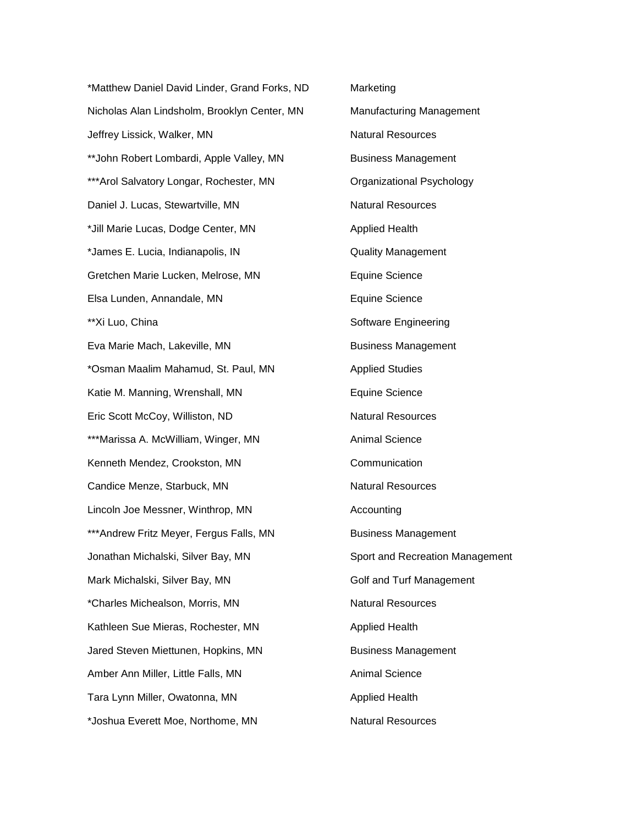\*Matthew Daniel David Linder, Grand Forks, ND Marketing Nicholas Alan Lindsholm, Brooklyn Center, MN Manufacturing Management Jeffrey Lissick, Walker, MN Natural Resources \*\*John Robert Lombardi, Apple Valley, MN Business Management \*\*\*Arol Salvatory Longar, Rochester, MN Crganizational Psychology Daniel J. Lucas, Stewartville, MN Natural Resources \*Jill Marie Lucas, Dodge Center, MN Applied Health \*James E. Lucia, Indianapolis, IN Quality Management Gretchen Marie Lucken, Melrose, MN Equine Science Elsa Lunden, Annandale, MN Elsa Lunden, Annandale, MN \*\*Xi Luo, China Software Engineering Eva Marie Mach, Lakeville, MN Business Management \*Osman Maalim Mahamud, St. Paul, MN Applied Studies Katie M. Manning, Wrenshall, MN Equine Science Eric Scott McCoy, Williston, ND Natural Resources \*\*\*Marissa A. McWilliam, Winger, MN Animal Science Kenneth Mendez, Crookston, MN Communication Candice Menze, Starbuck, MN Natural Resources Lincoln Joe Messner, Winthrop, MN Accounting \*\*\*Andrew Fritz Meyer, Fergus Falls, MN Business Management Jonathan Michalski, Silver Bay, MN Sport and Recreation Management Mark Michalski, Silver Bay, MN Golf and Turf Management \*Charles Michealson, Morris, MN Natural Resources Kathleen Sue Mieras, Rochester, MN Applied Health Jared Steven Miettunen, Hopkins, MN Business Management Amber Ann Miller, Little Falls, MN Animal Science Tara Lynn Miller, Owatonna, MN Annual Applied Health \*Joshua Everett Moe, Northome, MN Natural Resources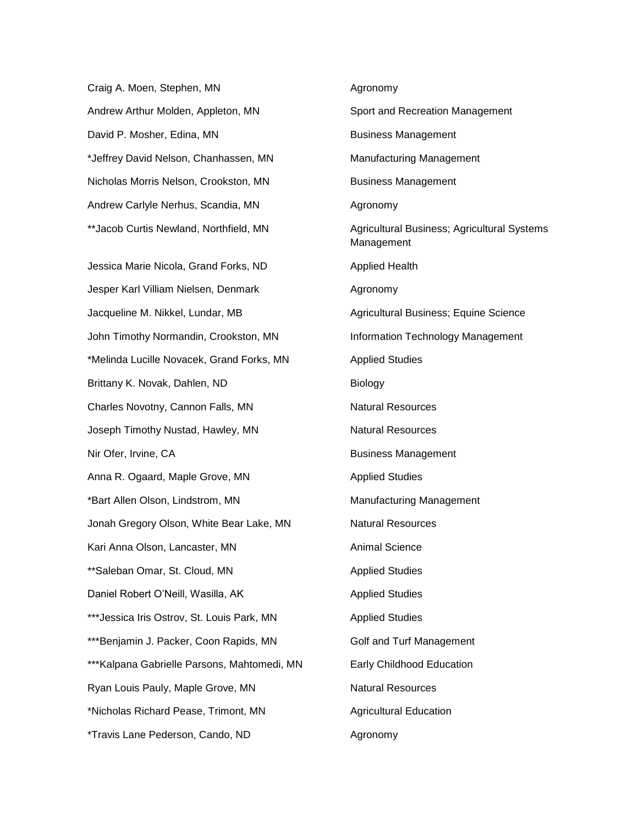Craig A. Moen, Stephen, MN Agronomy Andrew Arthur Molden, Appleton, MN Sport and Recreation Management David P. Mosher, Edina, MN Business Management \*Jeffrey David Nelson, Chanhassen, MN Manufacturing Management Nicholas Morris Nelson, Crookston, MN Business Management Andrew Carlyle Nerhus, Scandia, MN Agronomy

Jessica Marie Nicola, Grand Forks, ND Applied Health Jesper Karl Villiam Nielsen, Denmark **Agronomy** Jacqueline M. Nikkel, Lundar, MB Agricultural Business; Equine Science John Timothy Normandin, Crookston, MN Information Technology Management \*Melinda Lucille Novacek, Grand Forks, MN Applied Studies Brittany K. Novak, Dahlen, ND Biology Charles Novotny, Cannon Falls, MN Natural Resources Joseph Timothy Nustad, Hawley, MN Natural Resources Nir Ofer, Irvine, CA Business Management Anna R. Ogaard, Maple Grove, MN Anna R. Ogaard, Maple Grove, MN \*Bart Allen Olson, Lindstrom, MN Manufacturing Management Jonah Gregory Olson, White Bear Lake, MN Natural Resources Kari Anna Olson, Lancaster, MN Animal Science \*\*Saleban Omar, St. Cloud, MN Applied Studies Daniel Robert O'Neill, Wasilla, AK Applied Studies \*\*\*Jessica Iris Ostrov, St. Louis Park, MN Applied Studies \*\*\*Benjamin J. Packer, Coon Rapids, MN Golf and Turf Management \*\*\*Kalpana Gabrielle Parsons, Mahtomedi, MN Early Childhood Education Ryan Louis Pauly, Maple Grove, MN Natural Resources \*Nicholas Richard Pease, Trimont, MN Agricultural Education \*Travis Lane Pederson, Cando, ND Agronomy

\*\*Jacob Curtis Newland, Northfield, MN Agricultural Business; Agricultural Systems Management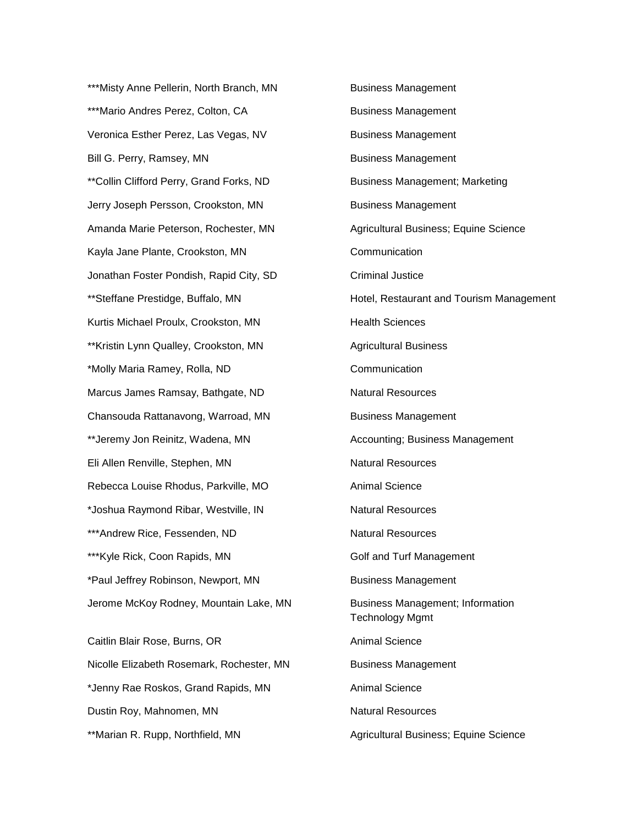\*\*\*Misty Anne Pellerin, North Branch, MN Business Management \*\*\*Mario Andres Perez, Colton, CA Business Management Veronica Esther Perez, Las Vegas, NV Business Management Bill G. Perry, Ramsey, MN Business Management \*\*Collin Clifford Perry, Grand Forks, ND Business Management; Marketing Jerry Joseph Persson, Crookston, MN Business Management Amanda Marie Peterson, Rochester, MN Agricultural Business; Equine Science Kayla Jane Plante, Crookston, MN Communication Jonathan Foster Pondish, Rapid City, SD Criminal Justice Kurtis Michael Proulx, Crookston, MN Health Sciences \*\*Kristin Lynn Qualley, Crookston, MN Agricultural Business \*Molly Maria Ramey, Rolla, ND Communication Marcus James Ramsay, Bathgate, ND Natural Resources Chansouda Rattanavong, Warroad, MN Business Management \*\*Jeremy Jon Reinitz, Wadena, MN Accounting; Business Management Eli Allen Renville, Stephen, MN Natural Resources Rebecca Louise Rhodus, Parkville, MO Animal Science \*Joshua Raymond Ribar, Westville, IN Natural Resources \*\*\*Andrew Rice, Fessenden, ND Natural Resources \*\*\*Kyle Rick, Coon Rapids, MN Golf and Turf Management \*Paul Jeffrey Robinson, Newport, MN Business Management Jerome McKoy Rodney, Mountain Lake, MN Business Management; Information Caitlin Blair Rose, Burns, OR Animal Science

Nicolle Elizabeth Rosemark, Rochester, MN Business Management \*Jenny Rae Roskos, Grand Rapids, MN Animal Science Dustin Roy, Mahnomen, MN Natural Resources

\*\*Steffane Prestidge, Buffalo, MN Hotel, Restaurant and Tourism Management Technology Mgmt \*\*Marian R. Rupp, Northfield, MN Agricultural Business; Equine Science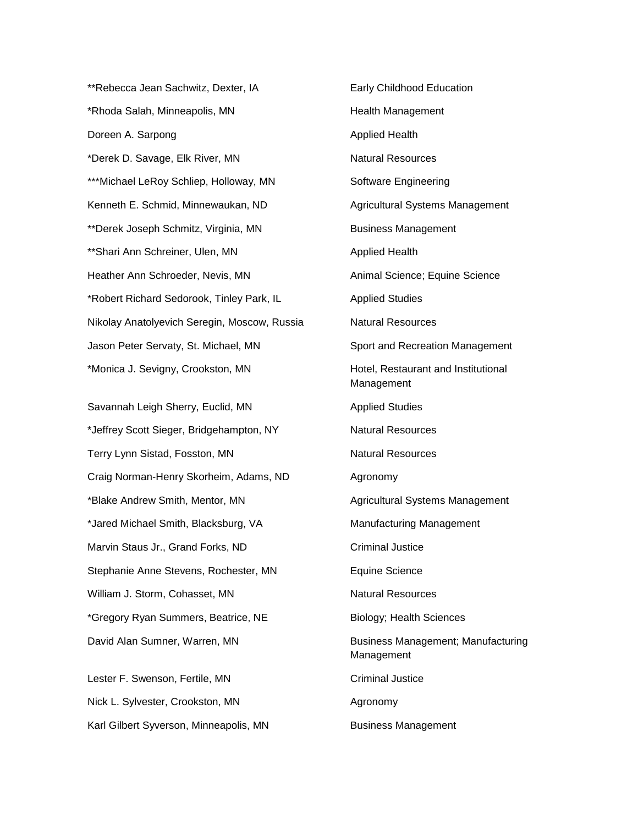\*\*Rebecca Jean Sachwitz, Dexter, IA Farly Childhood Education \*Rhoda Salah, Minneapolis, MN **Health Management** Doreen A. Sarpong **Applied Health** \*Derek D. Savage, Elk River, MN Natural Resources \*\*\*Michael LeRoy Schliep, Holloway, MN Software Engineering Kenneth E. Schmid, Minnewaukan, ND Agricultural Systems Management \*\*Derek Joseph Schmitz, Virginia, MN Business Management \*\*Shari Ann Schreiner, Ulen, MN Applied Health Heather Ann Schroeder, Nevis, MN Animal Science; Equine Science \*Robert Richard Sedorook, Tinley Park, IL Applied Studies Nikolay Anatolyevich Seregin, Moscow, Russia Natural Resources Jason Peter Servaty, St. Michael, MN Sport and Recreation Management \*Monica J. Sevigny, Crookston, MN Hotel, Restaurant and Institutional

Savannah Leigh Sherry, Euclid, MN Applied Studies \*Jeffrey Scott Sieger, Bridgehampton, NY Natural Resources Terry Lynn Sistad, Fosston, MN Natural Resources Craig Norman-Henry Skorheim, Adams, ND Agronomy \*Blake Andrew Smith, Mentor, MN Agricultural Systems Management \*Jared Michael Smith, Blacksburg, VA Manufacturing Management Marvin Staus Jr., Grand Forks, ND Criminal Justice Stephanie Anne Stevens, Rochester, MN Equine Science William J. Storm, Cohasset, MN Natural Resources \*Gregory Ryan Summers, Beatrice, NE Biology; Health Sciences David Alan Sumner, Warren, MN Business Management; Manufacturing

Lester F. Swenson, Fertile, MN Criminal Justice Nick L. Sylvester, Crookston, MN Agronomy Karl Gilbert Syverson, Minneapolis, MN Business Management

Management Management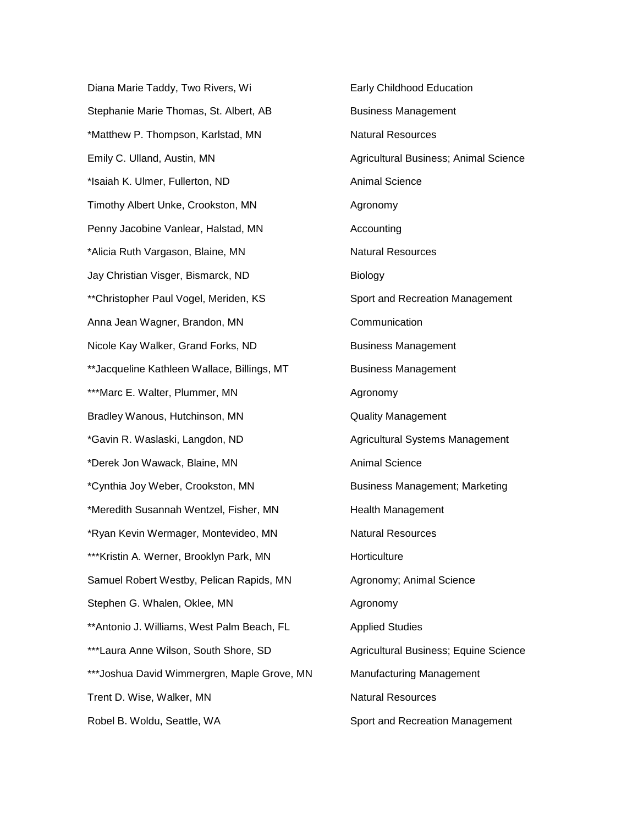Diana Marie Taddy, Two Rivers, Wi **Early Childhood Education** Stephanie Marie Thomas, St. Albert, AB Business Management \*Matthew P. Thompson, Karlstad, MN Natural Resources Emily C. Ulland, Austin, MN Agricultural Business; Animal Science \*Isaiah K. Ulmer, Fullerton, ND Animal Science Timothy Albert Unke, Crookston, MN Agronomy Penny Jacobine Vanlear, Halstad, MN Accounting \*Alicia Ruth Vargason, Blaine, MN Natural Resources Jay Christian Visger, Bismarck, ND Biology \*\*Christopher Paul Vogel, Meriden, KS Sport and Recreation Management Anna Jean Wagner, Brandon, MN<br>
Communication Nicole Kay Walker, Grand Forks, ND Business Management \*\*Jacqueline Kathleen Wallace, Billings, MT Business Management \*\*\*Marc E. Walter, Plummer, MN Agronomy Bradley Wanous, Hutchinson, MN Cuality Management \*Gavin R. Waslaski, Langdon, ND Agricultural Systems Management \*Derek Jon Wawack, Blaine, MN Animal Science \*Cynthia Joy Weber, Crookston, MN Business Management; Marketing \*Meredith Susannah Wentzel, Fisher, MN Health Management \*Ryan Kevin Wermager, Montevideo, MN Natural Resources \*\*\*Kristin A. Werner, Brooklyn Park, MN Horticulture Samuel Robert Westby, Pelican Rapids, MN Agronomy; Animal Science Stephen G. Whalen, Oklee, MN Agronomy \*\*Antonio J. Williams, West Palm Beach, FL Applied Studies \*\*\*Laura Anne Wilson, South Shore, SD Agricultural Business; Equine Science \*\*\*Joshua David Wimmergren, Maple Grove, MN Manufacturing Management Trent D. Wise, Walker, MN Natural Resources Robel B. Woldu, Seattle, WA Sport and Recreation Management